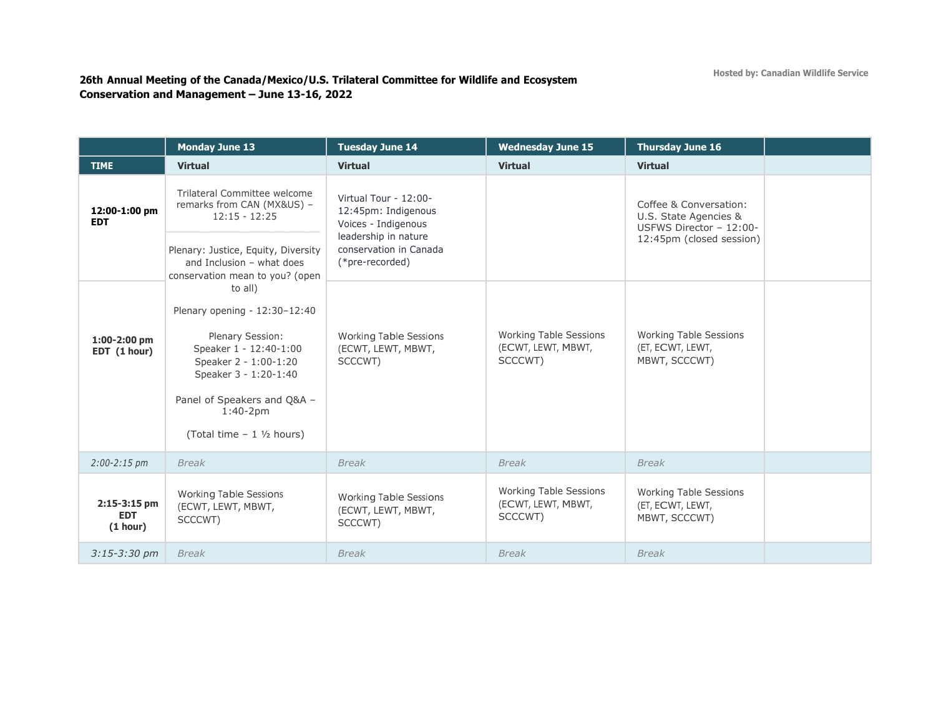## **26th Annual Meeting of the Canada/Mexico/U.S. Trilateral Committee for Wildlife and Ecosystem Conservation and Management – June 13-16, 2022**

|                                          | <b>Monday June 13</b>                                                                                                                                                                                                    | <b>Tuesday June 14</b>                                              | <b>Wednesday June 15</b>                                       | <b>Thursday June 16</b>                                                    |
|------------------------------------------|--------------------------------------------------------------------------------------------------------------------------------------------------------------------------------------------------------------------------|---------------------------------------------------------------------|----------------------------------------------------------------|----------------------------------------------------------------------------|
| <b>TIME</b>                              | <b>Virtual</b>                                                                                                                                                                                                           | <b>Virtual</b>                                                      | <b>Virtual</b>                                                 | <b>Virtual</b>                                                             |
| 12:00-1:00 pm<br><b>EDT</b>              | Trilateral Committee welcome<br>remarks from CAN (MX&US) -<br>$12:15 - 12:25$                                                                                                                                            | Virtual Tour - 12:00-<br>12:45pm: Indigenous<br>Voices - Indigenous |                                                                | Coffee & Conversation:<br>U.S. State Agencies &<br>USFWS Director - 12:00- |
|                                          | Plenary: Justice, Equity, Diversity<br>and Inclusion - what does<br>conservation mean to you? (open                                                                                                                      | leadership in nature<br>conservation in Canada<br>(*pre-recorded)   |                                                                | 12:45pm (closed session)                                                   |
| 1:00-2:00 pm<br>EDT (1 hour)             | to all)<br>Plenary opening - 12:30-12:40<br>Plenary Session:<br>Speaker 1 - 12:40-1:00<br>Speaker 2 - 1:00-1:20<br>Speaker 3 - 1:20-1:40<br>Panel of Speakers and Q&A -<br>$1:40 - 2pm$<br>(Total time $-1$ $1/2$ hours) | <b>Working Table Sessions</b><br>(ECWT, LEWT, MBWT,<br>SCCCWT)      | <b>Working Table Sessions</b><br>(ECWT, LEWT, MBWT,<br>SCCCWT) | <b>Working Table Sessions</b><br>(ET, ECWT, LEWT,<br>MBWT, SCCCWT)         |
| $2:00 - 2:15$ pm                         | <b>Break</b>                                                                                                                                                                                                             | <b>Break</b>                                                        | <b>Break</b>                                                   | <b>Break</b>                                                               |
| $2:15-3:15$ pm<br><b>EDT</b><br>(1 hour) | <b>Working Table Sessions</b><br>(ECWT, LEWT, MBWT,<br>SCCCWT)                                                                                                                                                           | <b>Working Table Sessions</b><br>(ECWT, LEWT, MBWT,<br>SCCCWT)      | <b>Working Table Sessions</b><br>(ECWT, LEWT, MBWT,<br>SCCCWT) | <b>Working Table Sessions</b><br>(ET, ECWT, LEWT,<br>MBWT, SCCCWT)         |
| $3:15 - 3:30$ pm                         | <b>Break</b>                                                                                                                                                                                                             | <b>Break</b>                                                        | <b>Break</b>                                                   | <b>Break</b>                                                               |